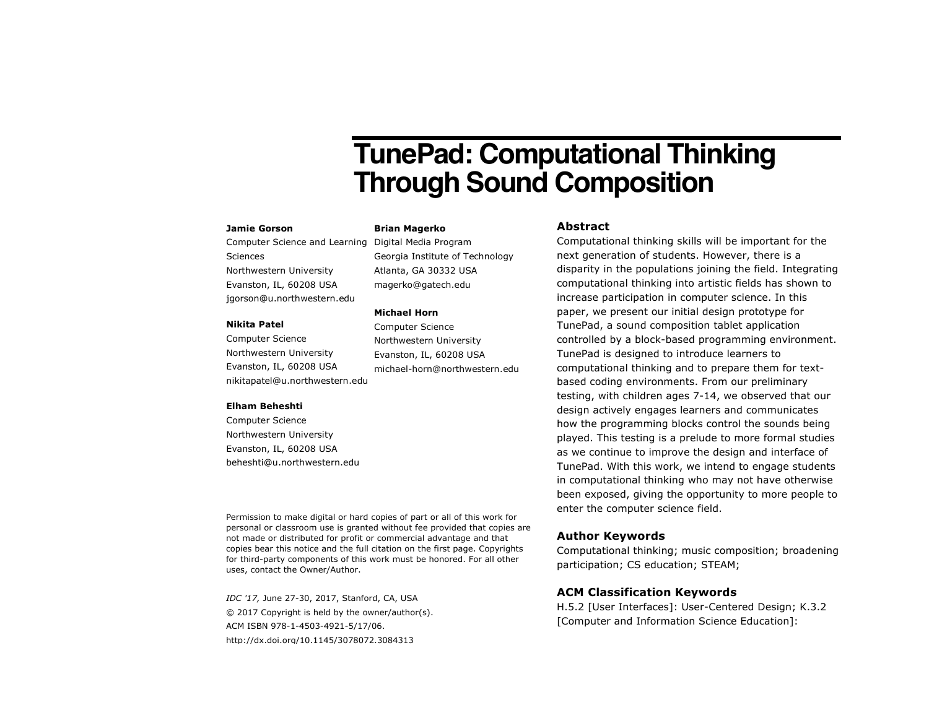# **TunePad: Computational Thinking Through Sound Composition**

#### **Jamie Gorson**

Computer Science and Learning Digital Media Program Sciences Northwestern University Evanston, IL, 60208 USA jgorson@u.northwestern.edu

#### **Nikita Patel**

Computer Science Northwestern University Evanston, IL, 60208 USA nikitapatel@u.northwestern.edu

#### **Elham Beheshti**

Computer Science Northwestern University Evanston, IL, 60208 USA beheshti@u.northwestern.edu

Permission to make digital or hard copies of part or all of this work for personal or classroom use is granted without fee provided that copies are not made or distributed for profit or commercial advantage and that copies bear this notice and the full citation on the first page. Copyrights for third-party components of this work must be honored. For all other uses, contact the Owner/Author.

*IDC '17,* June 27-30, 2017, Stanford, CA, USA © 2017 Copyright is held by the owner/author(s). ACM ISBN 978-1-4503-4921-5/17/06. http://dx.doi.org/10.1145/3078072.3084313

#### **Brian Magerko**

Georgia Institute of Technology Atlanta, GA 30332 USA magerko@gatech.edu

#### **Michael Horn**

Computer Science Northwestern University Evanston, IL, 60208 USA michael-horn@northwestern.edu

#### **Abstract**

Computational thinking skills will be important for the next generation of students. However, there is a disparity in the populations joining the field. Integrating computational thinking into artistic fields has shown to increase participation in computer science. In this paper, we present our initial design prototype for TunePad, a sound composition tablet application controlled by a block-based programming environment. TunePad is designed to introduce learners to computational thinking and to prepare them for textbased coding environments. From our preliminary testing, with children ages 7-14, we observed that our design actively engages learners and communicates how the programming blocks control the sounds being played. This testing is a prelude to more formal studies as we continue to improve the design and interface of TunePad. With this work, we intend to engage students in computational thinking who may not have otherwise been exposed, giving the opportunity to more people to enter the computer science field.

## **Author Keywords**

Computational thinking; music composition; broadening participation; CS education; STEAM;

### **ACM Classification Keywords**

H.5.2 [User Interfaces]: User-Centered Design; K.3.2 [Computer and Information Science Education]: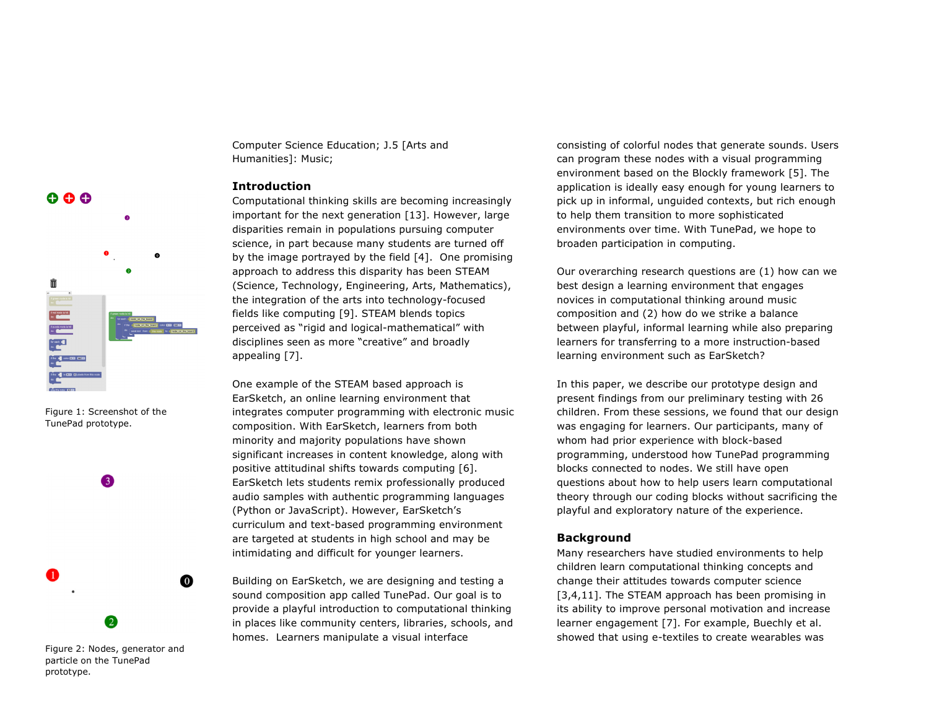

Figure 1: Screenshot of the TunePad prototype.



particle on the TunePad prototype.

Computer Science Education; J.5 [Arts and Humanities]: Music;

# **Introduction**

Computational thinking skills are becoming increasingly important for the next generation [13]. However, large disparities remain in populations pursuing computer science, in part because many students are turned off by the image portrayed by the field [4]. One promising approach to address this disparity has been STEAM (Science, Technology, Engineering, Arts, Mathematics), the integration of the arts into technology-focused fields like computing [9]. STEAM blends topics perceived as "rigid and logical-mathematical" with disciplines seen as more "creative" and broadly appealing [7].

One example of the STEAM based approach is EarSketch, an online learning environment that integrates computer programming with electronic music composition. With EarSketch, learners from both minority and majority populations have shown significant increases in content knowledge, along with positive attitudinal shifts towards computing [6]. EarSketch lets students remix professionally produced audio samples with authentic programming languages (Python or JavaScript). However, EarSketch's curriculum and text-based programming environment are targeted at students in high school and may be intimidating and difficult for younger learners.

Building on EarSketch, we are designing and testing a sound composition app called TunePad. Our goal is to provide a playful introduction to computational thinking in places like community centers, libraries, schools, and homes. Learners manipulate a visual interface

consisting of colorful nodes that generate sounds. Users can program these nodes with a visual programming environment based on the Blockly framework [5]. The application is ideally easy enough for young learners to pick up in informal, unguided contexts, but rich enough to help them transition to more sophisticated environments over time. With TunePad, we hope to broaden participation in computing.

Our overarching research questions are (1) how can we best design a learning environment that engages novices in computational thinking around music composition and (2) how do we strike a balance between playful, informal learning while also preparing learners for transferring to a more instruction-based learning environment such as EarSketch?

In this paper, we describe our prototype design and present findings from our preliminary testing with 26 children. From these sessions, we found that our design was engaging for learners. Our participants, many of whom had prior experience with block-based programming, understood how TunePad programming blocks connected to nodes. We still have open questions about how to help users learn computational theory through our coding blocks without sacrificing the playful and exploratory nature of the experience.

#### **Background**

Many researchers have studied environments to help children learn computational thinking concepts and change their attitudes towards computer science [3,4,11]. The STEAM approach has been promising in its ability to improve personal motivation and increase learner engagement [7]. For example, Buechly et al. showed that using e-textiles to create wearables was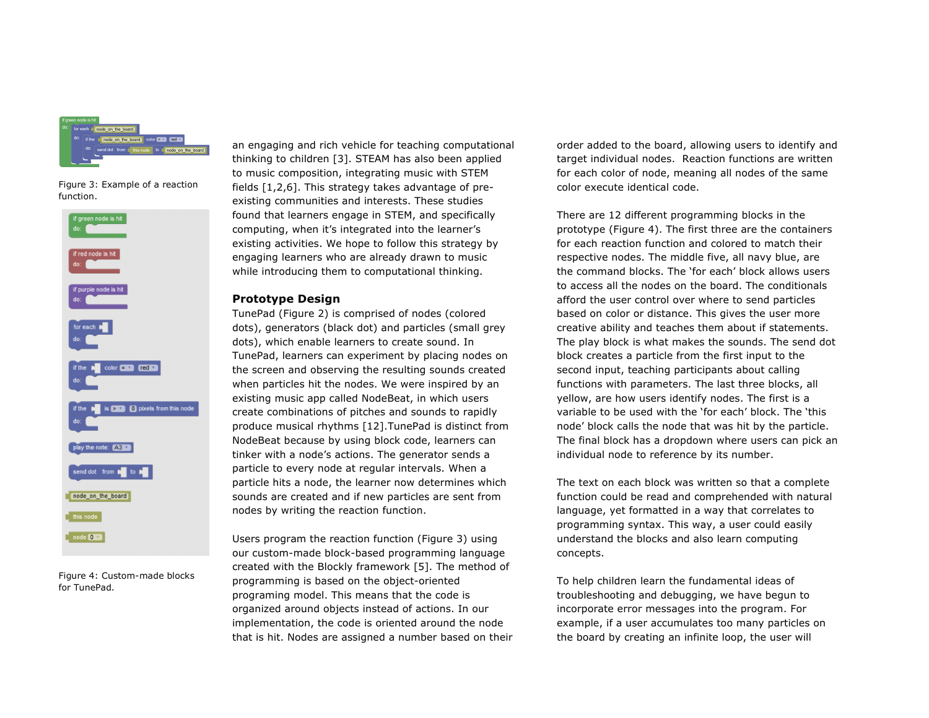

Figure 3: Example of a reaction function.



Figure 4: Custom-made blocks for TunePad.

an engaging and rich vehicle for teaching computational thinking to children [3]. STEAM has also been applied to music composition, integrating music with STEM fields [1,2,6]. This strategy takes advantage of preexisting communities and interests. These studies found that learners engage in STEM, and specifically computing, when it's integrated into the learner's existing activities. We hope to follow this strategy by engaging learners who are already drawn to music while introducing them to computational thinking.

#### **Prototype Design**

TunePad (Figure 2) is comprised of nodes (colored dots), generators (black dot) and particles (small grey dots), which enable learners to create sound. In TunePad, learners can experiment by placing nodes on the screen and observing the resulting sounds created when particles hit the nodes. We were inspired by an existing music app called NodeBeat, in which users create combinations of pitches and sounds to rapidly produce musical rhythms [12].TunePad is distinct from NodeBeat because by using block code, learners can tinker with a node's actions. The generator sends a particle to every node at regular intervals. When a particle hits a node, the learner now determines which sounds are created and if new particles are sent from nodes by writing the reaction function.

Users program the reaction function (Figure 3) using our custom-made block-based programming language created with the Blockly framework [5]. The method of programming is based on the object-oriented programing model. This means that the code is organized around objects instead of actions. In our implementation, the code is oriented around the node that is hit. Nodes are assigned a number based on their

order added to the board, allowing users to identify and target individual nodes. Reaction functions are written for each color of node, meaning all nodes of the same color execute identical code.

There are 12 different programming blocks in the prototype (Figure 4). The first three are the containers for each reaction function and colored to match their respective nodes. The middle five, all navy blue, are the command blocks. The 'for each' block allows users to access all the nodes on the board. The conditionals afford the user control over where to send particles based on color or distance. This gives the user more creative ability and teaches them about if statements. The play block is what makes the sounds. The send dot block creates a particle from the first input to the second input, teaching participants about calling functions with parameters. The last three blocks, all yellow, are how users identify nodes. The first is a variable to be used with the 'for each' block. The 'this node' block calls the node that was hit by the particle. The final block has a dropdown where users can pick an individual node to reference by its number.

The text on each block was written so that a complete function could be read and comprehended with natural language, yet formatted in a way that correlates to programming syntax. This way, a user could easily understand the blocks and also learn computing concepts.

To help children learn the fundamental ideas of troubleshooting and debugging, we have begun to incorporate error messages into the program. For example, if a user accumulates too many particles on the board by creating an infinite loop, the user will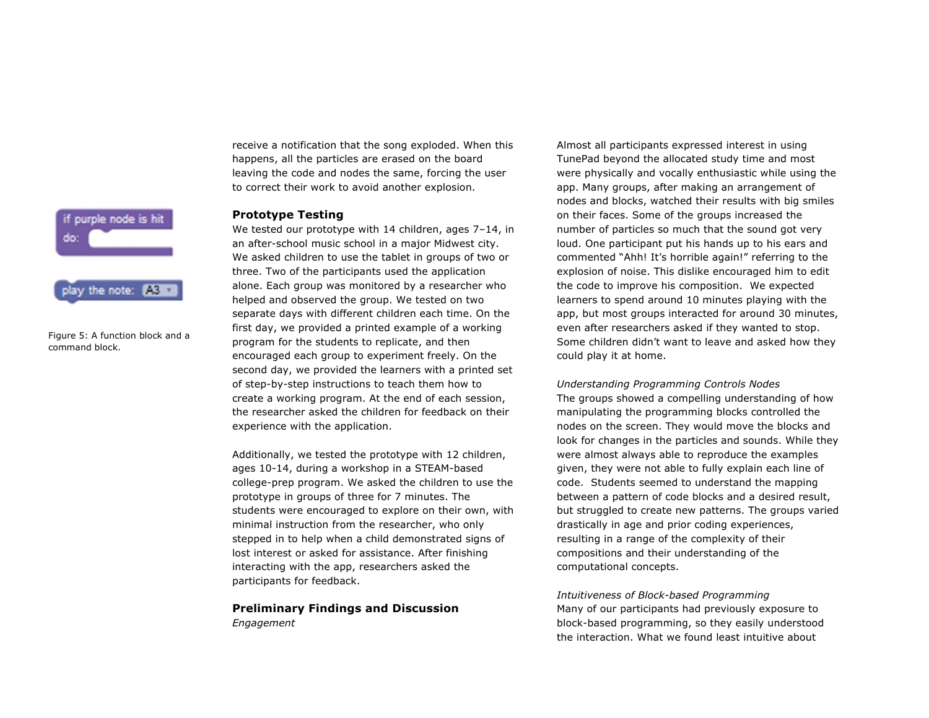receive a notification that the song exploded. When this happens, all the particles are erased on the board leaving the code and nodes the same, forcing the user to correct their work to avoid another explosion.

#### **Prototype Testing**

We tested our prototype with 14 children, ages 7–14, in an after-school music school in a major Midwest city. We asked children to use the tablet in groups of two or three. Two of the participants used the application alone. Each group was monitored by a researcher who helped and observed the group. We tested on two separate days with different children each time. On the first day, we provided a printed example of a working program for the students to replicate, and then encouraged each group to experiment freely. On the second day, we provided the learners with a printed set of step-by-step instructions to teach them how to create a working program. At the end of each session, the researcher asked the children for feedback on their experience with the application.

Additionally, we tested the prototype with 12 children, ages 10-14, during a workshop in a STEAM-based college-prep program. We asked the children to use the prototype in groups of three for 7 minutes. The students were encouraged to explore on their own, with minimal instruction from the researcher, who only stepped in to help when a child demonstrated signs of lost interest or asked for assistance. After finishing interacting with the app, researchers asked the participants for feedback.

# **Preliminary Findings and Discussion** *Engagement*

Almost all participants expressed interest in using TunePad beyond the allocated study time and most were physically and vocally enthusiastic while using the app. Many groups, after making an arrangement of nodes and blocks, watched their results with big smiles on their faces. Some of the groups increased the number of particles so much that the sound got very loud. One participant put his hands up to his ears and commented "Ahh! It's horrible again!" referring to the explosion of noise. This dislike encouraged him to edit the code to improve his composition. We expected learners to spend around 10 minutes playing with the app, but most groups interacted for around 30 minutes, even after researchers asked if they wanted to stop. Some children didn't want to leave and asked how they could play it at home.

*Understanding Programming Controls Nodes* The groups showed a compelling understanding of how manipulating the programming blocks controlled the nodes on the screen. They would move the blocks and look for changes in the particles and sounds. While they were almost always able to reproduce the examples given, they were not able to fully explain each line of code. Students seemed to understand the mapping between a pattern of code blocks and a desired result, but struggled to create new patterns. The groups varied drastically in age and prior coding experiences, resulting in a range of the complexity of their compositions and their understanding of the computational concepts.

#### *Intuitiveness of Block-based Programming*

Many of our participants had previously exposure to block-based programming, so they easily understood the interaction. What we found least intuitive about

# play the note: A3

if purple node is hit

Figure 5: A function block and a command block.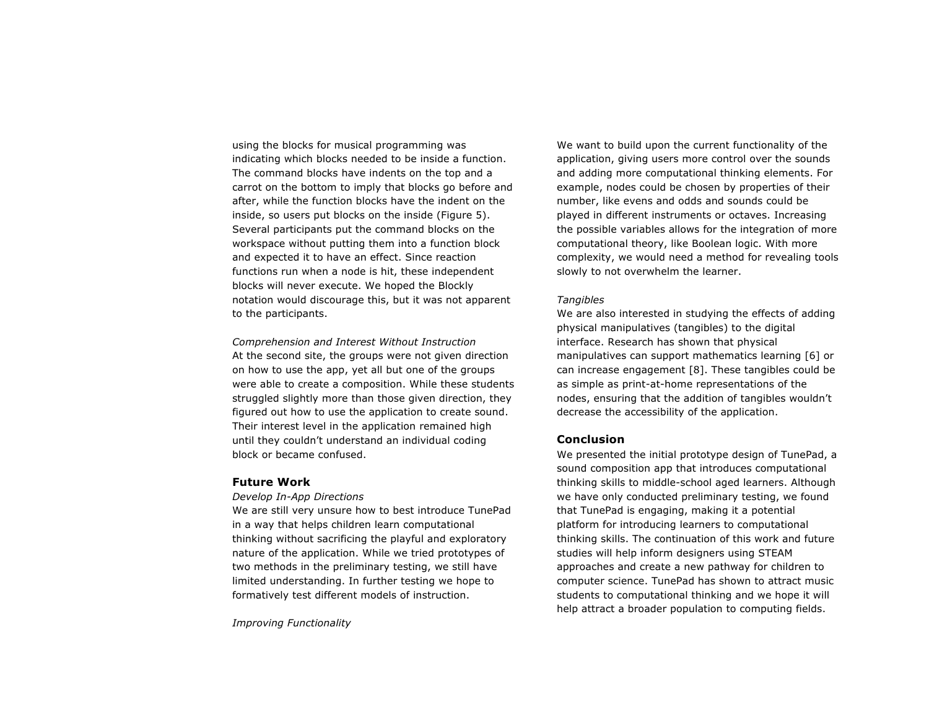using the blocks for musical programming was indicating which blocks needed to be inside a function. The command blocks have indents on the top and a carrot on the bottom to imply that blocks go before and after, while the function blocks have the indent on the inside, so users put blocks on the inside (Figure 5). Several participants put the command blocks on the workspace without putting them into a function block and expected it to have an effect. Since reaction functions run when a node is hit, these independent blocks will never execute. We hoped the Blockly notation would discourage this, but it was not apparent to the participants.

*Comprehension and Interest Without Instruction* At the second site, the groups were not given direction on how to use the app, yet all but one of the groups were able to create a composition. While these students struggled slightly more than those given direction, they figured out how to use the application to create sound. Their interest level in the application remained high until they couldn't understand an individual coding block or became confused.

#### **Future Work**

*Develop In-App Directions*

We are still very unsure how to best introduce TunePad in a way that helps children learn computational thinking without sacrificing the playful and exploratory nature of the application. While we tried prototypes of two methods in the preliminary testing, we still have limited understanding. In further testing we hope to formatively test different models of instruction.

*Improving Functionality*

We want to build upon the current functionality of the application, giving users more control over the sounds and adding more computational thinking elements. For example, nodes could be chosen by properties of their number, like evens and odds and sounds could be played in different instruments or octaves. Increasing the possible variables allows for the integration of more computational theory, like Boolean logic. With more complexity, we would need a method for revealing tools slowly to not overwhelm the learner.

#### *Tangibles*

We are also interested in studying the effects of adding physical manipulatives (tangibles) to the digital interface. Research has shown that physical manipulatives can support mathematics learning [6] or can increase engagement [8]. These tangibles could be as simple as print-at-home representations of the nodes, ensuring that the addition of tangibles wouldn't decrease the accessibility of the application.

#### **Conclusion**

We presented the initial prototype design of TunePad, a sound composition app that introduces computational thinking skills to middle-school aged learners. Although we have only conducted preliminary testing, we found that TunePad is engaging, making it a potential platform for introducing learners to computational thinking skills. The continuation of this work and future studies will help inform designers using STEAM approaches and create a new pathway for children to computer science. TunePad has shown to attract music students to computational thinking and we hope it will help attract a broader population to computing fields.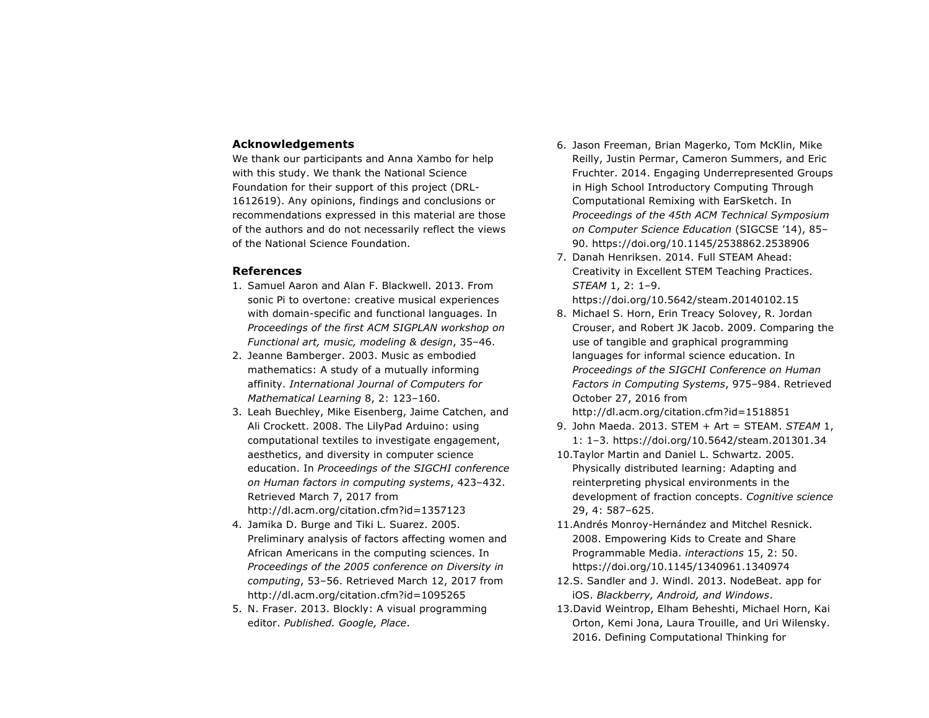### **Acknowledgements**

We thank our participants and Anna Xambo for help with this study. We thank the National Science Foundation for their support of this project (DRL-1612619). Any opinions, findings and conclusions or recommendations expressed in this material are those of the authors and do not necessarily reflect the views of the National Science Foundation.

#### **References**

- 1. Samuel Aaron and Alan F. Blackwell. 2013. From sonic Pi to overtone: creative musical experiences with domain-specific and functional languages. In *Proceedings of the first ACM SIGPLAN workshop on Functional art, music, modeling & design*, 35–46.
- 2. Jeanne Bamberger. 2003. Music as embodied mathematics: A study of a mutually informing affinity. *International Journal of Computers for Mathematical Learning* 8, 2: 123–160.
- 3. Leah Buechley, Mike Eisenberg, Jaime Catchen, and Ali Crockett. 2008. The LilyPad Arduino: using computational textiles to investigate engagement, aesthetics, and diversity in computer science education. In *Proceedings of the SIGCHI conference on Human factors in computing systems*, 423–432. Retrieved March 7, 2017 from http://dl.acm.org/citation.cfm?id=1357123
- 4. Jamika D. Burge and Tiki L. Suarez. 2005. Preliminary analysis of factors affecting women and African Americans in the computing sciences. In *Proceedings of the 2005 conference on Diversity in computing*, 53–56. Retrieved March 12, 2017 from http://dl.acm.org/citation.cfm?id=1095265
- 5. N. Fraser. 2013. Blockly: A visual programming editor. *Published. Google, Place*.
- 6. Jason Freeman, Brian Magerko, Tom McKlin, Mike Reilly, Justin Permar, Cameron Summers, and Eric Fruchter. 2014. Engaging Underrepresented Groups in High School Introductory Computing Through Computational Remixing with EarSketch. In *Proceedings of the 45th ACM Technical Symposium on Computer Science Education* (SIGCSE '14), 85– 90. https://doi.org/10.1145/2538862.2538906
- 7. Danah Henriksen. 2014. Full STEAM Ahead: Creativity in Excellent STEM Teaching Practices. *STEAM* 1, 2: 1–9. https://doi.org/10.5642/steam.20140102.15
- 8. Michael S. Horn, Erin Treacy Solovey, R. Jordan Crouser, and Robert JK Jacob. 2009. Comparing the use of tangible and graphical programming languages for informal science education. In *Proceedings of the SIGCHI Conference on Human Factors in Computing Systems*, 975–984. Retrieved October 27, 2016 from http://dl.acm.org/citation.cfm?id=1518851
- 9. John Maeda. 2013. STEM + Art = STEAM. *STEAM* 1, 1: 1–3. https://doi.org/10.5642/steam.201301.34
- 10.Taylor Martin and Daniel L. Schwartz. 2005. Physically distributed learning: Adapting and reinterpreting physical environments in the development of fraction concepts. *Cognitive science* 29, 4: 587–625.
- 11.Andrés Monroy-Hernández and Mitchel Resnick. 2008. Empowering Kids to Create and Share Programmable Media. *interactions* 15, 2: 50. https://doi.org/10.1145/1340961.1340974
- 12.S. Sandler and J. Windl. 2013. NodeBeat. app for iOS. *Blackberry, Android, and Windows*.
- 13.David Weintrop, Elham Beheshti, Michael Horn, Kai Orton, Kemi Jona, Laura Trouille, and Uri Wilensky. 2016. Defining Computational Thinking for